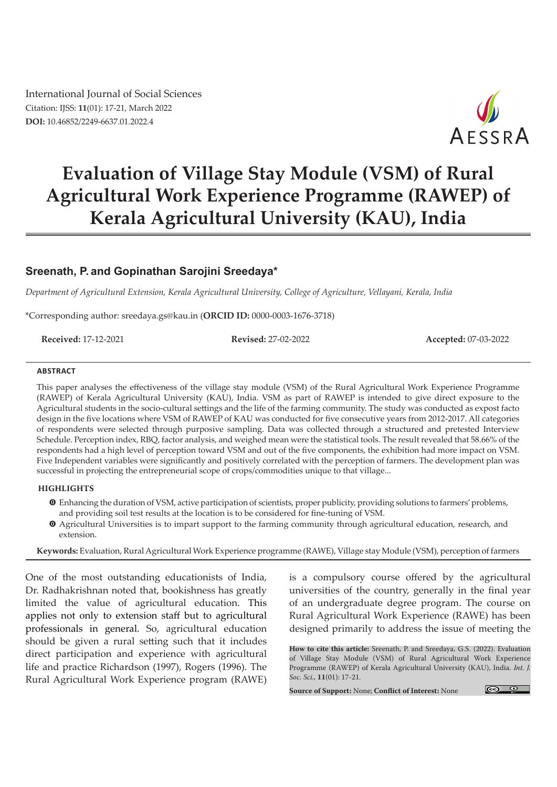International Journal of Social Sciences Citation: IJSS: **11**(01): 17-21, March 2022 **DOI:** 10.46852/2249-6637.01.2022.4



# **Evaluation of Village Stay Module (VSM) of Rural Agricultural Work Experience Programme (RAWEP) of Kerala Agricultural University (KAU), India**

# **Sreenath, P. and Gopinathan Sarojini Sreedaya\***

*Department of Agricultural Extension, Kerala Agricultural University, College of Agriculture, Vellayani, Kerala, India* 

\*Corresponding author: sreedaya.gs@kau.in (**ORCID ID:** 0000-0003-1676-3718)

**Received:** 17-12-2021 **Revised:** 27-02-2022 **Accepted:** 07-03-2022

#### **ABSTRACT**

This paper analyses the effectiveness of the village stay module (VSM) of the Rural Agricultural Work Experience Programme (RAWEP) of Kerala Agricultural University (KAU), India. VSM as part of RAWEP is intended to give direct exposure to the Agricultural students in the socio-cultural settings and the life of the farming community. The study was conducted as expost facto design in the five locations where VSM of RAWEP of KAU was conducted for five consecutive years from 2012-2017. All categories of respondents were selected through purposive sampling. Data was collected through a structured and pretested Interview Schedule. Perception index, RBQ, factor analysis, and weighed mean were the statistical tools. The result revealed that 58.66% of the respondents had a high level of perception toward VSM and out of the five components, the exhibition had more impact on VSM. Five Independent variables were significantly and positively correlated with the perception of farmers. The development plan was successful in projecting the entrepreneurial scope of crops/commodities unique to that village...

#### **HIGHLIGHTS**

- m Enhancing the duration of VSM, active participation of scientists, proper publicity, providing solutions to farmers' problems, and providing soil test results at the location is to be considered for fine-tuning of VSM.
- m Agricultural Universities is to impart support to the farming community through agricultural education, research, and extension.

**Keywords:** Evaluation, Rural Agricultural Work Experience programme (RAWE), Village stay Module (VSM), perception of farmers

One of the most outstanding educationists of India, Dr. Radhakrishnan noted that, bookishness has greatly limited the value of agricultural education. This applies not only to extension staff but to agricultural professionals in general. So, agricultural education should be given a rural setting such that it includes direct participation and experience with agricultural life and practice Richardson (1997), Rogers (1996). The Rural Agricultural Work Experience program (RAWE) is a compulsory course offered by the agricultural universities of the country, generally in the final year of an undergraduate degree program. The course on Rural Agricultural Work Experience (RAWE) has been designed primarily to address the issue of meeting the

**How to cite this article:** Sreenath, P. and Sreedaya, G.S. (2022). Evaluation of Village Stay Module (VSM) of Rural Agricultural Work Experience Programme (RAWEP) of Kerala Agricultural University (KAU), India. *Int. J. Soc. Sci.,* **11**(01): 17-21.

**Source of Support:** None; **Conflict of Interest:** None

 $\circ$   $\circ$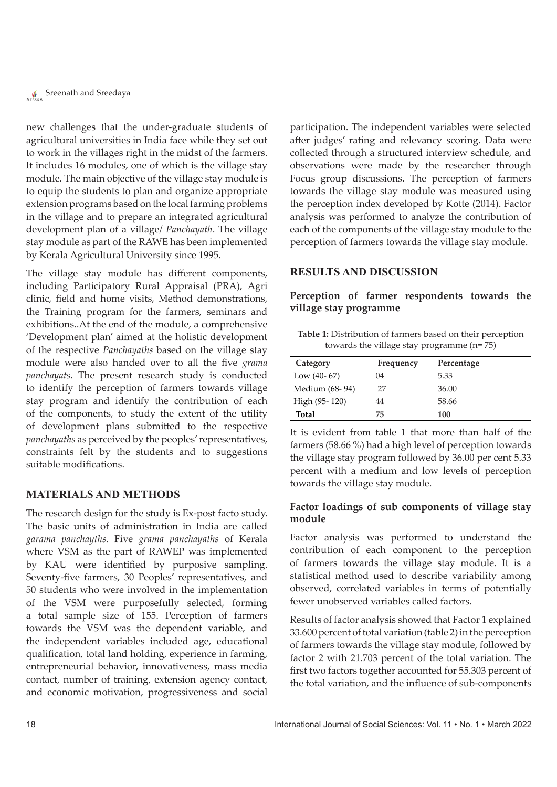new challenges that the under-graduate students of agricultural universities in India face while they set out to work in the villages right in the midst of the farmers. It includes 16 modules, one of which is the village stay module. The main objective of the village stay module is to equip the students to plan and organize appropriate extension programs based on the local farming problems in the village and to prepare an integrated agricultural development plan of a village/ *Panchayath*. The village stay module as part of the RAWE has been implemented by Kerala Agricultural University since 1995.

The village stay module has different components, including Participatory Rural Appraisal (PRA), Agri clinic, field and home visits, Method demonstrations, the Training program for the farmers, seminars and exhibitions..At the end of the module, a comprehensive 'Development plan' aimed at the holistic development of the respective *Panchayaths* based on the village stay module were also handed over to all the five *grama panchayats*. The present research study is conducted to identify the perception of farmers towards village stay program and identify the contribution of each of the components, to study the extent of the utility of development plans submitted to the respective *panchayaths* as perceived by the peoples' representatives, constraints felt by the students and to suggestions suitable modifications.

#### **MATERIALS AND METHODS**

The research design for the study is Ex-post facto study. The basic units of administration in India are called *garama panchayths*. Five *grama panchayaths* of Kerala where VSM as the part of RAWEP was implemented by KAU were identified by purposive sampling. Seventy-five farmers, 30 Peoples' representatives, and 50 students who were involved in the implementation of the VSM were purposefully selected, forming a total sample size of 155. Perception of farmers towards the VSM was the dependent variable, and the independent variables included age, educational qualification, total land holding, experience in farming, entrepreneurial behavior, innovativeness, mass media contact, number of training, extension agency contact, and economic motivation, progressiveness and social participation. The independent variables were selected after judges' rating and relevancy scoring. Data were collected through a structured interview schedule, and observations were made by the researcher through Focus group discussions. The perception of farmers towards the village stay module was measured using the perception index developed by Kotte (2014). Factor analysis was performed to analyze the contribution of each of the components of the village stay module to the perception of farmers towards the village stay module.

#### **RESULTS AND DISCUSSION**

# **Perception of farmer respondents towards the village stay programme**

**Table 1:** Distribution of farmers based on their perception towards the village stay programme (n= 75)

| Category       | Frequency | Percentage |
|----------------|-----------|------------|
| Low $(40-67)$  | 04        | 5.33       |
| Medium (68-94) | 27        | 36.00      |
| High (95-120)  | 44        | 58.66      |
| <b>Total</b>   | 75        | 100        |

It is evident from table 1 that more than half of the farmers (58.66 %) had a high level of perception towards the village stay program followed by 36.00 per cent 5.33 percent with a medium and low levels of perception towards the village stay module.

# **Factor loadings of sub components of village stay module**

Factor analysis was performed to understand the contribution of each component to the perception of farmers towards the village stay module. It is a statistical method used to describe variability among observed, correlated variables in terms of potentially fewer unobserved variables called factors.

Results of factor analysis showed that Factor 1 explained 33.600 percent of total variation (table 2) in the perception of farmers towards the village stay module, followed by factor 2 with 21.703 percent of the total variation. The first two factors together accounted for 55.303 percent of the total variation, and the influence of sub-components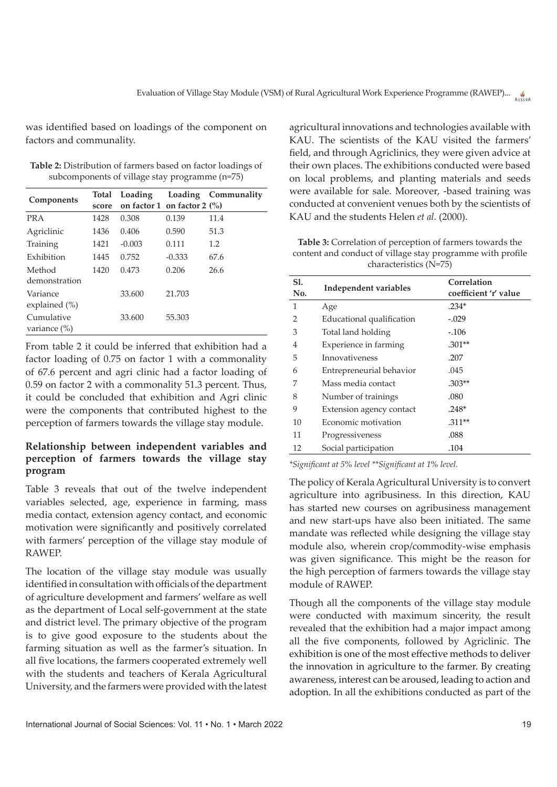was identified based on loadings of the component on factors and communality.

| Table 2: Distribution of farmers based on factor loadings of |  |
|--------------------------------------------------------------|--|
| subcomponents of village stay programme $(n=75)$             |  |

|                               | <b>Total</b> | Loading  |                                        | Loading Communality |
|-------------------------------|--------------|----------|----------------------------------------|---------------------|
| Components                    | score        |          | on factor 1 on factor 2 $\binom{0}{0}$ |                     |
| <b>PRA</b>                    | 1428         | 0.308    | 0.139                                  | 11.4                |
| Agriclinic                    | 1436         | 0.406    | 0.590                                  | 51.3                |
| Training                      | 1421         | $-0.003$ | 0.111                                  | 1.2                 |
| Exhibition                    | 1445         | 0.752    | $-0.333$                               | 67.6                |
| Method<br>demonstration       | 1420         | 0.473    | 0.206                                  | 26.6                |
| Variance<br>explained (%)     |              | 33.600   | 21.703                                 |                     |
| Cumulative<br>variance $(\%)$ |              | 33.600   | 55.303                                 |                     |

From table 2 it could be inferred that exhibition had a factor loading of 0.75 on factor 1 with a commonality of 67.6 percent and agri clinic had a factor loading of 0.59 on factor 2 with a commonality 51.3 percent. Thus, it could be concluded that exhibition and Agri clinic were the components that contributed highest to the perception of farmers towards the village stay module.

# **Relationship between independent variables and perception of farmers towards the village stay program**

Table 3 reveals that out of the twelve independent variables selected, age, experience in farming, mass media contact, extension agency contact, and economic motivation were significantly and positively correlated with farmers' perception of the village stay module of RAWEP.

The location of the village stay module was usually identified in consultation with officials of the department of agriculture development and farmers' welfare as well as the department of Local self-government at the state and district level. The primary objective of the program is to give good exposure to the students about the farming situation as well as the farmer's situation. In all five locations, the farmers cooperated extremely well with the students and teachers of Kerala Agricultural University, and the farmers were provided with the latest agricultural innovations and technologies available with KAU. The scientists of the KAU visited the farmers' field, and through Agriclinics, they were given advice at their own places. The exhibitions conducted were based on local problems, and planting materials and seeds were available for sale. Moreover, -based training was conducted at convenient venues both by the scientists of KAU and the students Helen *et al.* (2000).

**Table 3:** Correlation of perception of farmers towards the content and conduct of village stay programme with profile characteristics (N=75)

| <b>S1.</b><br>No. | Independent variables     | Correlation<br>coefficient 'r' value |  |
|-------------------|---------------------------|--------------------------------------|--|
| 1                 | Age                       | $.234*$                              |  |
| $\mathcal{P}$     | Educational qualification | $-.029$                              |  |
| 3                 | Total land holding        | $-.106$                              |  |
| 4                 | Experience in farming     | $.301**$                             |  |
| 5                 | Innovativeness            | .207                                 |  |
| 6                 | Entrepreneurial behavior  | .045                                 |  |
| 7                 | Mass media contact        | $.303**$                             |  |
| 8                 | Number of trainings       | .080                                 |  |
| 9                 | Extension agency contact  | $.248*$                              |  |
| 10                | Economic motivation       | $.311**$                             |  |
| 11                | Progressiveness           | .088                                 |  |
| 12                | Social participation      | .104                                 |  |

*\*Significant at 5% level \*\*Significant at 1% level.*

The policy of Kerala Agricultural University is to convert agriculture into agribusiness. In this direction, KAU has started new courses on agribusiness management and new start-ups have also been initiated. The same mandate was reflected while designing the village stay module also, wherein crop/commodity-wise emphasis was given significance. This might be the reason for the high perception of farmers towards the village stay module of RAWEP.

Though all the components of the village stay module were conducted with maximum sincerity, the result revealed that the exhibition had a major impact among all the five components, followed by Agriclinic. The exhibition is one of the most effective methods to deliver the innovation in agriculture to the farmer. By creating awareness, interest can be aroused, leading to action and adoption. In all the exhibitions conducted as part of the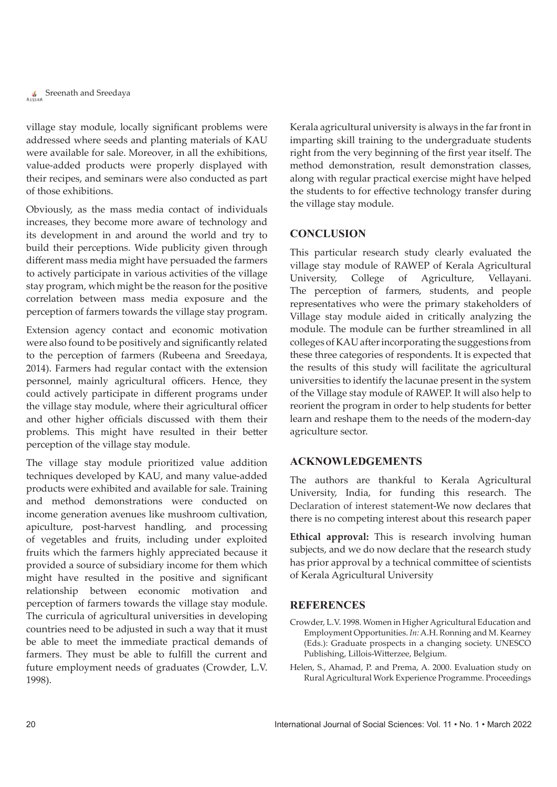**Single Streenath and Sreedaya** 

village stay module, locally significant problems were addressed where seeds and planting materials of KAU were available for sale. Moreover, in all the exhibitions, value-added products were properly displayed with their recipes, and seminars were also conducted as part of those exhibitions.

Obviously, as the mass media contact of individuals increases, they become more aware of technology and its development in and around the world and try to build their perceptions. Wide publicity given through different mass media might have persuaded the farmers to actively participate in various activities of the village stay program, which might be the reason for the positive correlation between mass media exposure and the perception of farmers towards the village stay program.

Extension agency contact and economic motivation were also found to be positively and significantly related to the perception of farmers (Rubeena and Sreedaya, 2014). Farmers had regular contact with the extension personnel, mainly agricultural officers. Hence, they could actively participate in different programs under the village stay module, where their agricultural officer and other higher officials discussed with them their problems. This might have resulted in their better perception of the village stay module.

The village stay module prioritized value addition techniques developed by KAU, and many value-added products were exhibited and available for sale. Training and method demonstrations were conducted on income generation avenues like mushroom cultivation, apiculture, post-harvest handling, and processing of vegetables and fruits, including under exploited fruits which the farmers highly appreciated because it provided a source of subsidiary income for them which might have resulted in the positive and significant relationship between economic motivation and perception of farmers towards the village stay module. The curricula of agricultural universities in developing countries need to be adjusted in such a way that it must be able to meet the immediate practical demands of farmers. They must be able to fulfill the current and future employment needs of graduates (Crowder, L.V. 1998).

Kerala agricultural university is always in the far front in imparting skill training to the undergraduate students right from the very beginning of the first year itself. The method demonstration, result demonstration classes, along with regular practical exercise might have helped the students to for effective technology transfer during the village stay module.

## **CONCLUSION**

This particular research study clearly evaluated the village stay module of RAWEP of Kerala Agricultural University, College of Agriculture, Vellayani. The perception of farmers, students, and people representatives who were the primary stakeholders of Village stay module aided in critically analyzing the module. The module can be further streamlined in all colleges of KAU after incorporating the suggestions from these three categories of respondents. It is expected that the results of this study will facilitate the agricultural universities to identify the lacunae present in the system of the Village stay module of RAWEP. It will also help to reorient the program in order to help students for better learn and reshape them to the needs of the modern-day agriculture sector.

### **ACKNOWLEDGEMENTS**

The authors are thankful to Kerala Agricultural University, India, for funding this research. The Declaration of interest statement-We now declares that there is no competing interest about this research paper

**Ethical approval:** This is research involving human subjects, and we do now declare that the research study has prior approval by a technical committee of scientists of Kerala Agricultural University

### **REFERENCES**

- Crowder, L.V. 1998. Women in Higher Agricultural Education and Employment Opportunities. *In:* A.H. Ronning and M. Kearney (Eds.): Graduate prospects in a changing society. UNESCO Publishing, Lillois-Witterzee, Belgium.
- Helen, S., Ahamad, P. and Prema, A. 2000. Evaluation study on Rural Agricultural Work Experience Programme. Proceedings